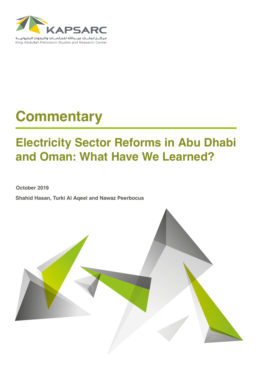

# **Commentary**

## **Electricity Sector Reforms in Abu Dhabi and Oman: What Have We Learned?**

**October 2019**

**Shahid Hasan, Turki Al Aqeel and Nawaz Peerbocus**

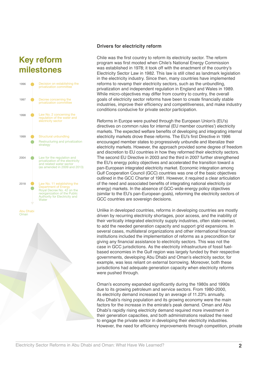## **Key reform milestones**



#### **Drivers for electricity reform**

Chile was the first country to reform its electricity sector. The reform program was first mooted when Chile's National Energy Commission was established in 1978; it took off with the enactment of the country's Electricity Sector Law in 1982. This law is still cited as landmark legislation in the electricity industry. Since then, many countries have implemented reforms to revamp their electricity sectors, such as the unbundling, privatization and independent regulation in England and Wales in 1989. While micro-objectives may differ from country to country, the overall goals of electricity sector reforms have been to create financially stable industries, improve their efficiency and competitiveness, and make industry conditions conducive for private sector participation.

Reforms in Europe were pushed through the European Union's (EU's) directives on common rules for internal (EU member countries') electricity markets. The expected welfare benefits of developing and integrating internal electricity markets drove these reforms. The EU's first Directive in 1996 encouraged member states to progressively unbundle and liberalize their electricity markets. However, the approach provided some degree of freedom and discretion to EU countries in how they reformed their electricity sectors. The second EU Directive in 2003 and the third in 2007 further strengthened the EU's energy policy objectives and accelerated the transition toward a pan-European integrated electricity market. Economic integration among Gulf Cooperation Council (GCC) countries was one of the basic objectives outlined in the GCC Charter of 1981. However, it required a clear articulation of the need and associated benefits of integrating national electricity (or energy) markets. In the absence of GCC-wide energy policy objectives (similar to the EU's pan-European goals), reforming the electricity sectors of GCC countries are sovereign decisions.

Unlike in developed countries, reforms in developing countries are mostly driven by recurring electricity shortages, poor access, and the inability of their vertically integrated electricity supply industries, often state-owned, to add the needed generation capacity and support grid expansions. In several cases, multilateral organizations and other international financial institutions included the implementation of reforms as a precondition for giving any financial assistance to electricity sectors. This was not the case in GCC jurisdictions. As the electricity infrastructure of fossil fuelbased economies in the Gulf region was largely funded by their respective governments, developing Abu Dhabi and Oman's electricity sector, for example, was less reliant on external borrowing. Moreover, both these jurisdictions had adequate generation capacity when electricity reforms were pushed through.

Oman's economy expanded significantly during the 1980s and 1990s due to its growing petroleum and service sectors. From 1980-2000, its electricity demand increased by an average of 11.23% annually. Abu Dhabi's rising population and its growing economy were the main factors for the increase in the emirate's peak demand. Oman and Abu Dhabi's rapidly rising electricity demand required more investment in their generation capacities, and both administrations realized the need to engage the private sector in developing their electricity industries. However, the need for efficiency improvements through competition, private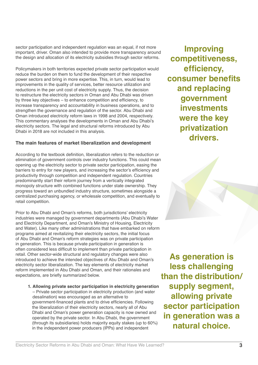sector participation and independent regulation was an equal, if not more important, driver. Oman also intended to provide more transparency around the design and allocation of its electricity subsidies through sector reforms.

Policymakers in both territories expected private sector participation would reduce the burden on them to fund the development of their respective power sectors and bring in more expertise. This, in turn, would lead to improvements in the quality of services, better resource utilization and reductions in the per unit cost of electricity supply. Thus, the decision to restructure the electricity sectors in Oman and Abu Dhabi was driven by three key objectives – to enhance competition and efficiency, to increase transparency and accountability in business operations, and to strengthen the governance and regulation of the sector. Abu Dhabi and Oman introduced electricity reform laws in 1998 and 2004, respectively. This commentary analyses the developments in Oman and Abu Dhabi's electricity sectors. The legal and structural reforms introduced by Abu Dhabi in 2018 are not included in this analysis.

#### **The main features of market liberalization and development**

According to the textbook definition, liberalization refers to the reduction or elimination of government controls over industry functions. This could mean opening up the electricity sector to private sector participation, easing the barriers to entry for new players, and increasing the sector's efficiency and productivity through competition and independent regulation. Countries predominantly start their reform journey from a vertically integrated monopoly structure with combined functions under state ownership. They progress toward an unbundled industry structure, sometimes alongside a centralized purchasing agency, or wholesale competition, and eventually to retail competition.

Prior to Abu Dhabi and Oman's reforms, both jurisdictions' electricity industries were managed by government departments (Abu Dhabi's Water and Electricity Department, and Oman's Ministry of Housing, Electricity and Water). Like many other administrations that have embarked on reform programs aimed at revitalizing their electricity sectors, the initial focus of Abu Dhabi and Oman's reform strategies was on private participation in generation. This is because private participation in generation is often considered less difficult to implement than private participation in retail. Other sector-wide structural and regulatory changes were also introduced to achieve the intended objectives of Abu Dhabi and Oman's electricity sector liberalization. The key elements of electricity market reform implemented in Abu Dhabi and Oman, and their rationales and expectations, are briefly summarized below.

#### **1. Allowing private sector participation in electricity generation**

– Private sector participation in electricity production (and water desalination) was encouraged as an alternative to government-financed plants and to drive efficiencies. Following the liberalization of their electricity sectors, nearly all of Abu Dhabi and Oman's power generation capacity is now owned and operated by the private sector. In Abu Dhabi, the government (through its subsidiaries) holds majority equity stakes (up to 60%) in the independent power producers (IPPs) and independent

**Improving competitiveness, efficiency, consumer benefits and replacing government investments were the key privatization drivers.**

**As generation is less challenging than the distribution/ supply segment, allowing private sector participation in generation was a natural choice.**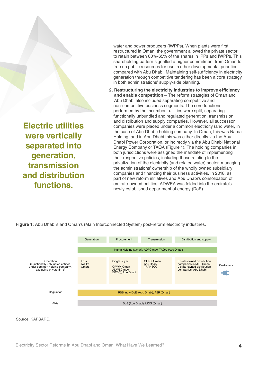**Electric utilities were vertically separated into generation, transmission and distribution functions.**

water and power producers (IWPPs). When plants were first restructured in Oman, the government allowed the private sector to retain between 60%-65% of the shares in IPPs and IWPPs. This shareholding pattern signalled a higher commitment from Oman to free up public resources for use in other developmental priorities compared with Abu Dhabi. Maintaining self-sufficiency in electricity generation through competitive tendering has been a core strategy in both administrations' supply-side planning.

**2. Restructuring the electricity industries to improve efficiency and enable competition** – The reform strategies of Oman and Abu Dhabi also included separating competitive and non-competitive business segments. The core functions performed by the incumbent utilities were split, separating functionally unbundled and regulated generation, transmission and distribution and supply companies. However, all successor companies were placed under a common electricity (and water, in the case of Abu Dhabi) holding company. In Oman, this was Nama Holding, and in Abu Dhabi this was either directly via the Abu Dhabi Power Corporation, or indirectly via the Abu Dhabi National Energy Company or TAQA (Figure 1). The holding companies in both jurisdictions were assigned the mandate of implementing their respective policies, including those relating to the privatization of the electricity (and related water) sector, managing the administrations' ownership of the wholly owned subsidiary companies and financing their business activities. In 2018, as part of new reform initiatives and Abu Dhabi's consolidation of emirate-owned entities, ADWEA was folded into the emirate's newly established department of energy (DoE).



Figure 1: Abu Dhabi's and Oman's (Main Interconnected System) post-reform electricity industries.

Source: KAPSARC.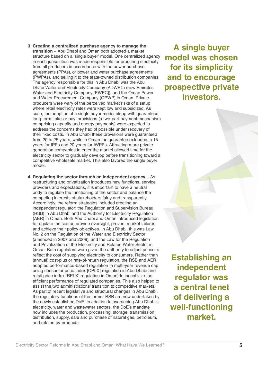- Electricity Sector Reforms in Abu Dhabi and Oman: What Have We Learned? **5** and related by-products.
- **Establishing an independent regulator was a central tenet of delivering a well-functioning market.**
- **3. Creating a centralized purchase agency to manage the transition** – Abu Dhabi and Oman both adopted a market structure based on a 'single buyer' model. One centralized agency in each jurisdiction was made responsible for procuring electricity from all producers in accordance with the power purchase agreements (PPAs), or power and water purchase agreements (PWPAs), and selling it to the state-owned distribution companies. The agency responsible for this in Abu Dhabi was the Abu Dhabi Water and Electricity Company (ADWEC) (now Emirates Water and Electricity Company [EWEC]), and the Oman Power and Water Procurement Company (OPWP) in Oman. Private producers were wary of the perceived market risks of a setup where retail electricity rates were kept low and subsidized. As such, the adoption of a single buyer model along with guaranteed long-term 'take-or-pay' provisions (a two-part payment mechanism comprising capacity and energy payments) were expected to address the concerns they had of possible under recovery of their fixed costs. In Abu Dhabi these provisions were guaranteed from 20 to 25 years, while in Oman the guarantee extended to 15 years for IPPs and 20 years for IWPPs. Attracting more private generation companies to enter the market allowed time for the electricity sector to gradually develop before transitioning toward a competitive wholesale market. This also favored the single buyer model.
- **4. Regulating the sector through an independent agency** As restructuring and privatization introduces new functions, service providers and expectations, it is important to have a neutral body to regulate the functioning of the sector and balance the competing interests of stakeholders fairly and transparently. Accordingly, the reform strategies included creating an independent regulator: the Regulation and Supervision Bureau (RSB) in Abu Dhabi and the Authority for Electricity Regulation (AER) in Oman. Both Abu Dhabi and Oman introduced legislation to regulate the sector, provide oversight, prevent market failures and achieve their policy objectives. In Abu Dhabi, this was Law No. 2 on the Regulation of the Water and Electricity Sector (amended in 2007 and 2009), and the Law for the Regulation and Privatization of the Electricity and Related Water Sector in Oman. Both regulators were given the authority to adjust prices to reflect the cost of supplying electricity to consumers. Rather than (annual) cost-plus or rate-of-return regulation, the RSB and AER adopted performance-based regulation (a multi-year revenue cap using consumer price index [CPI-X] regulation in Abu Dhabi and retail price index [RPI-X] regulation in Oman) to incentivize the efficient performance of regulated companies. This also helped to assist the two administrations' transition to competitive markets. As part of recent legislative and structural changes in Abu Dhabi, the regulatory functions of the former RSB are now undertaken by the newly established DoE. In addition to overseeing Abu Dhabi's electricity, water and wastewater sectors, the DoE's mandate now includes the production, processing, storage, transmission, distribution, supply, sale and purchase of natural gas, petroleum,

**A single buyer model was chosen for its simplicity and to encourage prospective private investors.**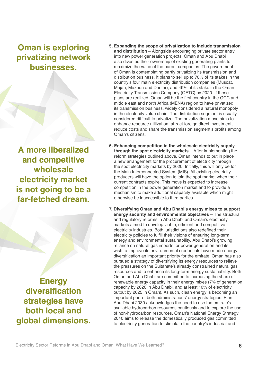## **Oman is exploring privatizing network businesses.**

**A more liberalized and competitive wholesale electricity market is not going to be a far-fetched dream.**

**Energy diversification strategies have both local and global dimensions.**

- **5. Expanding the scope of privatization to include transmission and distribution** – Alongside encouraging private sector entry into new power generation projects, Oman and Abu Dhabi also divested their ownership of existing generating plants to maximize the value of the parent companies. The government of Oman is contemplating partly privatizing its transmission and distribution business. It plans to sell up to 70% of its stakes in the country's four main electricity distribution companies (Muscat, Majan, Mazoon and Dhofar), and 49% of its stake in the Oman Electricity Transmission Company (OETC) by 2020. If these plans are realized, Oman will be the first country in the GCC and middle east and north Africa (MENA) region to have privatized its transmission business, widely considered a natural monopoly in the electricity value chain. The distribution segment is usually considered difficult to privatize. The privatization move aims to enhance resource utilization, attract foreign direct investment, reduce costs and share the transmission segment's profits among Oman's citizens.
- **6. Enhancing competition in the wholesale electricity supply through the spot electricity markets** – After implementing the reform strategies outlined above, Oman intends to put in place a new arrangement for the procurement of electricity through the spot electricity markets by 2020. Initially, this will only be for the Main Interconnected System (MIS). All existing electricity producers will have the option to join the spot market when their current contracts expire. This move is expected to increase competition in the power generation market and to provide a mechanism to make additional capacity available which might otherwise be inaccessible to third parties.
- **7. Diversifying Oman and Abu Dhabi's energy mixes to support energy security and environmental objectives** – The structural and regulatory reforms in Abu Dhabi and Oman's electricity markets aimed to develop viable, efficient and competitive electricity industries. Both jurisdictions also redefined their electricity policies to fulfill their visions of ensuring long-term energy and environmental sustainability. Abu Dhabi's growing reliance on natural gas imports for power generation and its wish to improve its environmental credentials have made energy diversification an important priority for the emirate. Oman has also pursued a strategy of diversifying its energy resources to relieve the pressures on the Sultanate's already constrained natural gas resources and to enhance its long-term energy sustainability. Both Oman and Abu Dhabi are committed to increasing the share of renewable energy capacity in their energy mixes (7% of generation capacity by 2020 in Abu Dhabi, and at least 10% of electricity output by 2025 in Oman). As such, clean energy is becoming an important part of both administrations' energy strategies. Plan Abu Dhabi 2030 acknowledges the need to use the emirate's available hydrocarbon resources cautiously and to explore the use of non-hydrocarbon resources. Oman's National Energy Strategy 2040 aims to release the domestically produced gas committed to electricity generation to stimulate the country's industrial and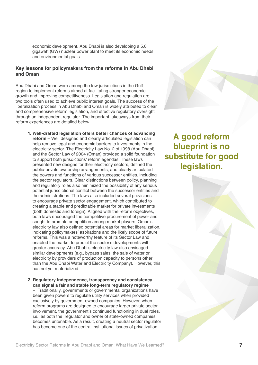economic development. Abu Dhabi is also developing a 5.6 gigawatt (GW) nuclear power plant to meet its economic needs and environmental goals.

#### **Key lessons for policymakers from the reforms in Abu Dhabi and Oman**

Abu Dhabi and Oman were among the few jurisdictions in the Gulf region to implement reforms aimed at facilitating stronger economic growth and improving competitiveness. Legislation and regulation are two tools often used to achieve public interest goals. The success of the liberalization process in Abu Dhabi and Oman is widely attributed to clear and comprehensive reform legislation, and effective regulatory oversight through an independent regulator. The important takeaways from their reform experiences are detailed below.

- **1. Well-drafted legislation offers better chances of advancing reform** – Well designed and clearly articulated legislation can help remove legal and economic barriers to investments in the electricity sector. The Electricity Law No. 2 of 1998 (Abu Dhabi) and the Sector Law of 2004 (Oman) provided a solid foundation to support both jurisdictions' reform agendas. These laws presented new designs for their electricity sectors, defined the public-private ownership arrangements, and clearly articulated the powers and functions of various successor entities, including the sector regulators. Clear distinctions between policy, planning and regulatory roles also minimized the possibility of any serious potential jurisdictional conflict between the successor entities and the administrations. The laws also included several provisions to encourage private sector engagement, which contributed to creating a stable and predictable market for private investments (both domestic and foreign). Aligned with the reform objectives, both laws encouraged the competitive procurement of power and sought to promote competition among market players. Oman's electricity law also defined potential areas for market liberalization, indicating policymakers' aspirations and the likely scope of future reforms. This was a noteworthy feature of its Sector Law and enabled the market to predict the sector's developments with greater accuracy. Abu Dhabi's electricity law also envisaged similar developments (e.g., bypass sales: the sale of water or electricity by providers of production capacity to persons other than the Abu Dhabi Water and Electricity Company). However, this has not yet materialized.
- **2. Regulatory independence, transparency and consistency can signal a fair and stable long-term regulatory regime**

–Traditionally, governments or governmental organizations have been given powers to regulate utility services when provided exclusively by government-owned companies. However, when reform programs are designed to encourage larger private sector involvement, the government's continued functioning in dual roles, i.e., as both the regulator and owner of state-owned companies, becomes untenable. As a result, creating a neutral sector regulator has become one of the central institutional issues of privatization

## **A good reform blueprint is no substitute for good legislation.**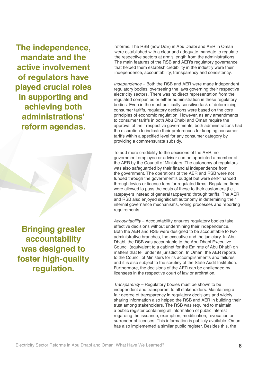**The independence, mandate and the active involvement of regulators have played crucial roles in supporting and achieving both administrations' reform agendas.**

**Bringing greater accountability was designed to foster high-quality regulation.**

reforms. The RSB (now DoE) in Abu Dhabi and AER in Oman were established with a clear and adequate mandate to regulate the respective sectors at arm's length from the administrations. The main features of the RSB and AER's regulatory governance that helped them establish credibility in the industry were their independence, accountability, transparency and consistency.

*Independence* – Both the RSB and AER were made independent regulatory bodies, overseeing the laws governing their respective electricity sectors. There was no direct representation from the regulated companies or either administration in these regulatory bodies. Even in the most politically sensitive task of determining consumer tariffs, regulatory decisions were based on the core principles of economic regulation. However, as any amendments to consumer tariffs in both Abu Dhabi and Oman require the approval of their respective governments, both administrations had the discretion to indicate their preferences for keeping consumer tariffs within a specified level for any consumer category by providing a commensurate subsidy.

To add more credibility to the decisions of the AER, no government employee or adviser can be appointed a member of the AER by the Council of Ministers. The autonomy of regulators was also safeguarded by their financial independence from the government. The operations of the AER and RSB were not funded through the government's budget but were self-financed through levies or license fees for regulated firms. Regulated firms were allowed to pass the costs of these to their customers (i.e., ratepayers instead of general taxpayers) through tariffs. The AER and RSB also enjoyed significant autonomy in determining their internal governance mechanisms, voting processes and reporting requirements.

*Accountability* – Accountability ensures regulatory bodies take effective decisions without undermining their independence. Both the AER and RSB were designed to be accountable to two administrative branches, the executive and the judiciary. In Abu Dhabi, the RSB was accountable to the Abu Dhabi Executive Council (equivalent to a cabinet for the Emirate of Abu Dhabi) on matters that fell under its jurisdiction. In Oman, the AER reports to the Council of Ministers for its accomplishments and failures, and it is also subject to the scrutiny of the State Audit Institution. Furthermore, the decisions of the AER can be challenged by licensees in the respective court of law or arbitration.

*Transparency* – Regulatory bodies must be shown to be independent and transparent to all stakeholders. Maintaining a fair degree of transparency in regulatory decisions and widely sharing information also helped the RSB and AER in building their trust among stakeholders. The RSB was required to maintain a public register containing all information of public interest regarding the issuance, exemption, modification, revocation or surrender of licenses. This information is publicly available. Oman has also implemented a similar public register. Besides this, the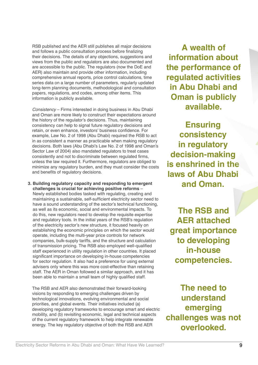RSB published and the AER still publishes all major decisions and follows a public consultation process before finalizing their decisions. The details of any objections, suggestions and views from the public and regulators are also documented and are accessible to the public. The regulators (now the DoE and AER) also maintain and provide other information, including comprehensive annual reports, price control calculations, time series data on a large number of parameters, regularly updated long-term planning documents, methodological and consultation papers, regulations, and codes, among other items. This information is publicly available.

*Consistency* – Firms interested in doing business in Abu Dhabi and Oman are more likely to construct their expectations around the history of the regulator's decisions. Thus, maintaining consistency can help to signal future regulatory decisions and retain, or even enhance, investors' business confidence. For example, Law No. 2 of 1998 (Abu Dhabi) required the RSB to act in as consistent a manner as practicable when making regulatory decisions. Both laws (Abu Dhabi's Law No. 2 of 1998 and Oman's Sector Law of 2004) also mandated regulators to treat cases consistently and not to discriminate between regulated firms, unless the law required it. Furthermore, regulators are obliged to minimize any regulatory burden, and they must consider the costs and benefits of regulatory decisions.

**3. Building regulatory capacity and responding to emergent challenges is crucial for achieving positive reforms** – Newly established bodies tasked with regulating, creating and maintaining a sustainable, self-sufficient electricity sector need to have a sound understanding of the sector's technical functioning, as well as its economic, social and environmental impacts. To do this, new regulators need to develop the requisite expertise and regulatory tools. In the initial years of the RSB's regulation of the electricity sector's new structure, it focused heavily on establishing the economic principles on which the sector would operate, including the multi-year price controls for network companies, bulk-supply tariffs, and the structure and calculation of transmission pricing. The RSB also employed well-qualified staff experienced in utility regulation in other countries. It placed significant importance on developing in-house competencies for sector regulation. It also had a preference for using external advisers only where this was more cost-effective than retaining staff. The AER in Oman followed a similar approach, and it has been able to maintain a small team of highly qualified staff.

The RSB and AER also demonstrated their forward-looking visions by responding to emerging challenges driven by technological innovations, evolving environmental and social priorities, and global events. Their initiatives included (a) developing regulatory frameworks to encourage smart and electric mobility, and (b) revisiting economic, legal and technical aspects of the current regulatory framework to help integrate renewable energy. The key regulatory objective of both the RSB and AER

**A wealth of information about the performance of regulated activities in Abu Dhabi and Oman is publicly available.**

**Ensuring consistency in regulatory decision-making is enshrined in the laws of Abu Dhabi and Oman.**

**The RSB and AER attached great importance to developing in-house competencies.**

**The need to understand emerging challenges was not overlooked.**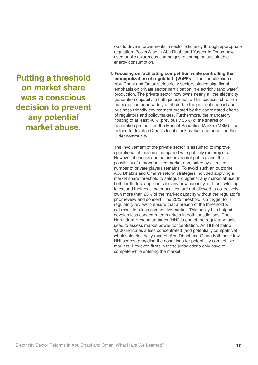was to drive improvements in sector efficiency through appropriate regulation. PowerWise in Abu Dhabi and Yaseer in Oman have used public awareness campaigns to champion sustainable energy consumption.

**4. Focusing on facilitating competition while controlling the monopolization of regulated I(W)PPs** – The liberalization of Abu Dhabi and Oman's electricity sectors placed significant emphasis on private sector participation in electricity (and water) production. The private sector now owns nearly all the electricity generation capacity in both jurisdictions. This successful reform outcome has been widely attributed to the political support and business-friendly environment created by the coordinated efforts of regulators and policymakers. Furthermore, the mandatory floating of at least 40% (previously 35%) of the shares of generation projects on the Muscat Securities Market (MSM) also helped to develop Oman's local stock market and benefited the wider community.

The involvement of the private sector is assumed to improve operational efficiencies compared with publicly run projects. However, if checks and balances are not put in place, the possibility of a monopolized market dominated by a limited number of private players remains. To avoid such an outcome, Abu Dhabi's and Oman's reform strategies included applying a market share threshold to safeguard against any market abuse. In both territories, applicants for any new capacity, or those wishing to expand their existing capacities, are not allowed to collectively own more than 25% of the market capacity without the regulator's prior review and consent. The 25% threshold is a trigger for a regulatory review to ensure that a breach of the threshold will not result in a less competitive market. This policy has helped develop less concentrated markets in both jurisdictions. The Herfindahl-Hirschman Index (HHI) is one of the regulatory tools used to assess market power concentration. An HHI of below 1,800 indicates a less concentrated (and potentially competitive) wholesale electricity market. Abu Dhabi and Oman both have low HHI scores, providing the conditions for potentially competitive markets. However, firms in these jurisdictions only have to compete while entering the market.

**Putting a threshold on market share was a conscious decision to prevent any potential market abuse.**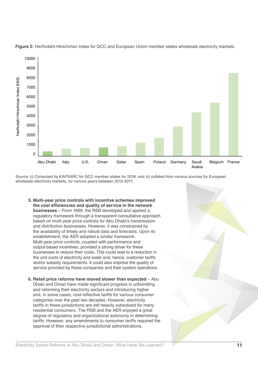

**Figure 2:** Herfindahl-Hirschman Index for GCC and European Union member states wholesale electricity markets.

Source: (i) Computed by KAPSARC for GCC member states for 2018, and (ii) collated from various sources for European wholesale electricity markets, for various years between 2015-2017.

- **5. Multi-year price controls with incentive schemes improved the cost efficiencies and quality of service in the network businesses** – From 1999, the RSB developed and applied a regulatory framework through a transparent consultative approach based on multi-year price controls for Abu Dhabi's transmission and distribution businesses. However, it was constrained by the availability of timely and robust data and forecasts. Upon its establishment, the AER adopted a similar framework. Multi-year price controls, coupled with performance and output-based incentives, provided a strong driver for these businesses to reduce their costs. This could lead to a reduction in the unit costs of electricity and water and, hence, customer tariffs and/or subsidy requirements. It could also improve the quality of service provided by these companies and their system operations.
- **6. Retail price reforms have moved slower than expected Abu** Dhabi and Oman have made significant progress in unbundling and reforming their electricity sectors and introducing higher and, in some cases, cost-reflective tariffs for various consumer categories over the past two decades. However, electricity tariffs in these jurisdictions are still heavily subsidized for many residential consumers. The RSB and the AER enjoyed a great degree of regulatory and organizational autonomy in determining tariffs. However, any amendments to consumer tariffs required the approval of their respective jurisdictional administrations.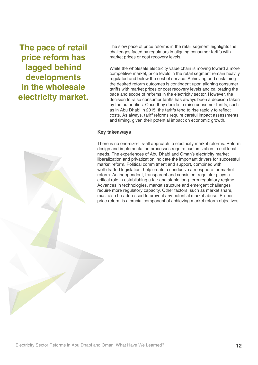**The pace of retail price reform has lagged behind developments in the wholesale electricity market.**

The slow pace of price reforms in the retail segment highlights the challenges faced by regulators in aligning consumer tariffs with market prices or cost recovery levels.

While the wholesale electricity value chain is moving toward a more competitive market, price levels in the retail segment remain heavily regulated and below the cost of service. Achieving and sustaining the desired reform outcomes is contingent upon aligning consumer tariffs with market prices or cost recovery levels and calibrating the pace and scope of reforms in the electricity sector. However, the decision to raise consumer tariffs has always been a decision taken by the authorities. Once they decide to raise consumer tariffs, such as in Abu Dhabi in 2015, the tariffs tend to rise rapidly to reflect costs. As always, tariff reforms require careful impact assessments and timing, given their potential impact on economic growth.

#### **Key takeaways**

There is no one-size-fits-all approach to electricity market reforms. Reform design and implementation processes require customization to suit local needs. The experiences of Abu Dhabi and Oman's electricity market liberalization and privatization indicate the important drivers for successful market reform. Political commitment and support, combined with well-drafted legislation, help create a conducive atmosphere for market reform. An independent, transparent and consistent regulator plays a critical role in establishing a fair and stable long-term regulatory regime. Advances in technologies, market structure and emergent challenges require more regulatory capacity. Other factors, such as market share, must also be addressed to prevent any potential market abuse. Proper price reform is a crucial component of achieving market reform objectives.

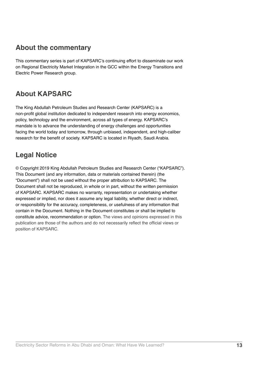## **About the commentary**

This commentary series is part of KAPSARC's continuing effort to disseminate our work on Regional Electricity Market Integration in the GCC within the Energy Transitions and Electric Power Research group.

## **About KAPSARC**

The King Abdullah Petroleum Studies and Research Center (KAPSARC) is a non-profit global institution dedicated to independent research into energy economics, policy, technology and the environment, across all types of energy. KAPSARC's mandate is to advance the understanding of energy challenges and opportunities facing the world today and tomorrow, through unbiased, independent, and high-caliber research for the benefit of society. KAPSARC is located in Riyadh, Saudi Arabia.

## **Legal Notice**

© Copyright 2019 King Abdullah Petroleum Studies and Research Center ("KAPSARC"). This Document (and any information, data or materials contained therein) (the "Document") shall not be used without the proper attribution to KAPSARC. The Document shall not be reproduced, in whole or in part, without the written permission of KAPSARC. KAPSARC makes no warranty, representation or undertaking whether expressed or implied, nor does it assume any legal liability, whether direct or indirect, or responsibility for the accuracy, completeness, or usefulness of any information that contain in the Document. Nothing in the Document constitutes or shall be implied to constitute advice, recommendation or option. The views and opinions expressed in this publication are those of the authors and do not necessarily reflect the official views or position of KAPSARC.